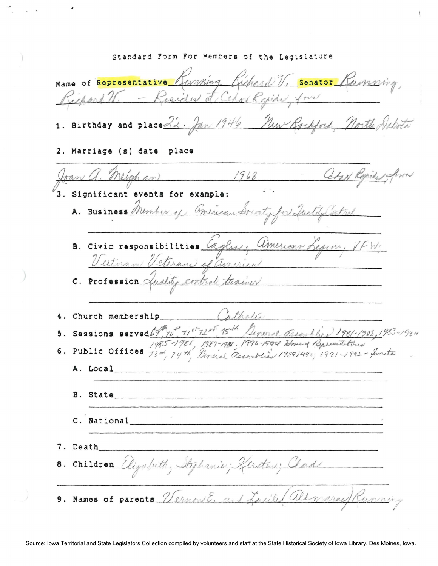Standard Form For Members of the Legislature Name of Representative Kunning Kichard V. Senator Kumning Richard V. - Resident de Cehon Rapide four 1. Birthday and place 22. Jan 1946 New Rockford, North, 2. Marriage (s) date place Joan a. Meighan 1968 Char Repides 3. Significant events for example: A. Business Member of american Drecty for Quality entrol B. Civic responsibilities Cagles, American Legern, VFW. C. Profession *Quality control trainer* in thating 4. Church membership 5. Sessions served 69, 10" 11st 12nd 15th General Assemblies 1981-1983, 1983-1984<br>1985-1986, 1987-1988. 1993-1999 Zmed Bernardtins<br>6. Public Offices 13nd, 14th, General Assemblies 1989-1990; 1991-1992-Smite A. Local B. State C. National 7. Death 8. Children Elizabeth, Aphanie: Kersten; Chad Ernow E. and Luciles allmaraells 9. Names of parents  $\mathbb Z$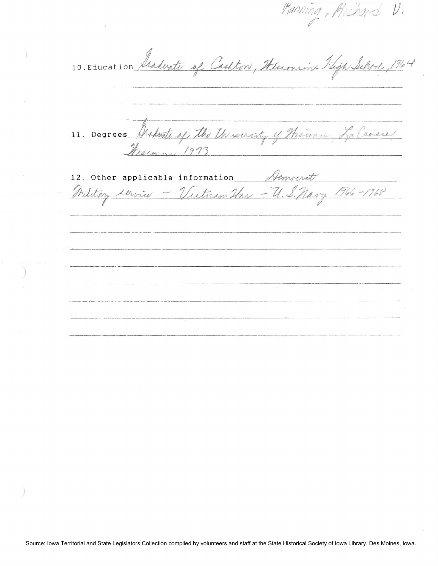Running, Richard V. 10. Education Graduate of Cashton, Wisconsin Sligh School, 1964 11. Degrees Property of the University of Theirin La Cross, Messon 1973 12. Other applicable information Aemperat Military service - Victorian Has - U. S. Navy 1966-1968